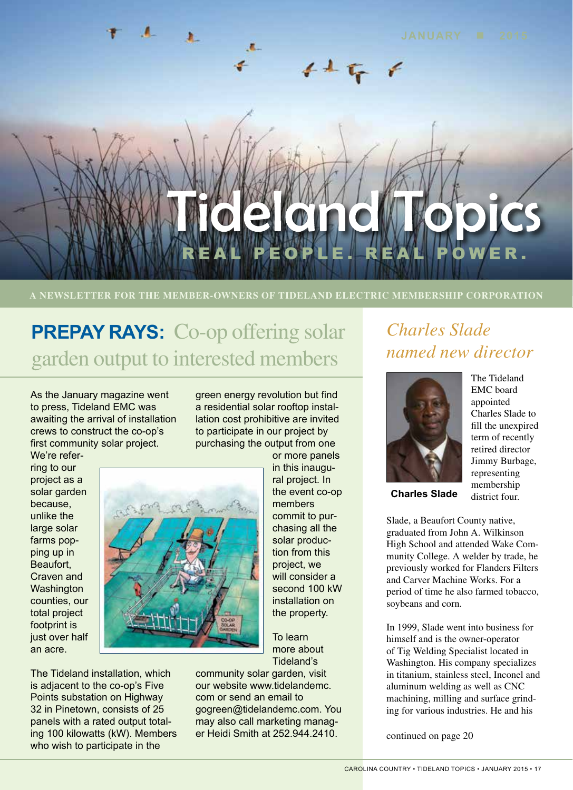

#### **A NEWSLETTER FOR THE MEMBER-OWNERS OF TIDELAND ELECTRIC MEMBERSHIP CORPORATION**

## **PREPAY RAYS:** Co-op offering solar garden output to interested members

As the January magazine went to press, Tideland EMC was awaiting the arrival of installation crews to construct the co-op's first community solar project. We're refergreen energy revolution but find a residential solar rooftop installation cost prohibitive are invited to participate in our project by purchasing the output from one

ring to our project as a solar garden because, unlike the large solar farms popping up in **Beaufort** Craven and **Washington** counties, our total project footprint is just over half an acre.



The Tideland installation, which is adjacent to the co-op's Five Points substation on Highway 32 in Pinetown, consists of 25 panels with a rated output totaling 100 kilowatts (kW). Members who wish to participate in the



To learn more about Tideland's

community solar garden, visit our website www.tidelandemc. com or send an email to gogreen@tidelandemc.com. You may also call marketing manager Heidi Smith at 252.944.2410.

## *Charles Slade named new director*



The Tideland EMC board appointed Charles Slade to fill the unexpired term of recently retired director Jimmy Burbage, representing membership district four.

**Charles Slade**

Slade, a Beaufort County native, graduated from John A. Wilkinson High School and attended Wake Community College. A welder by trade, he previously worked for Flanders Filters and Carver Machine Works. For a period of time he also farmed tobacco, soybeans and corn.

In 1999, Slade went into business for himself and is the owner-operator of Tig Welding Specialist located in Washington. His company specializes in titanium, stainless steel, Inconel and aluminum welding as well as CNC machining, milling and surface grinding for various industries. He and his

continued on page 20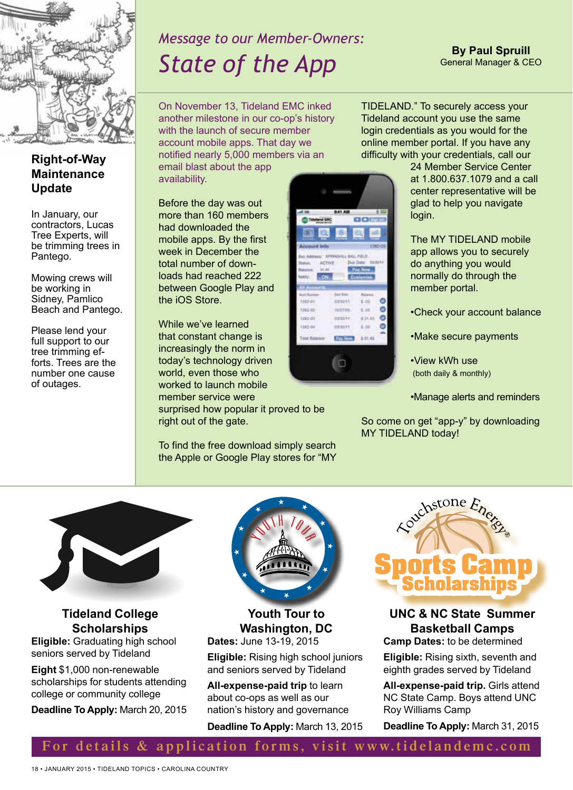

### **Right-of-Way Maintenance Update**

In January, our contractors, Lucas Tree Experts, will be trimming trees in Pantego.

Mowing crews will be working in Sidney, Pamlico Beach and Pantego.

Please lend your full support to our tree trimming efforts. Trees are the number one cause of outages.

# *Message to our Member-Owners: State of the App*

On November 13, Tideland EMC inked another milestone in our co-op's history with the launch of secure member account mobile apps. That day we notified nearly 5,000 members via an email blast about the app

availability.

Before the day was out more than 160 members had downloaded the mobile apps. By the first week in December the total number of downloads had reached 222 between Google Play and the iOS Store.

While we've learned that constant change is increasingly the norm in today's technology driven world, even those who worked to launch mobile member service were surprised how popular it proved to be right out of the gate.

To find the free download simply search the Apple or Google Play stores for "MY



TIDELAND." To securely access your Tideland account you use the same login credentials as you would for the online member portal. If you have any difficulty with your credentials, call our

24 Member Service Center at 1.800.637.1079 and a call center representative will be glad to help you navigate login.

**By Paul Spruill** General Manager & CEO

The MY TIDELAND mobile app allows you to securely do anything you would normally do through the member portal.

•Check your account balance

•Make secure payments

•View kWh use (both daily & monthly)

•Manage alerts and reminders

So come on get "app-y" by downloading MY TIDELAND today!



#### **Tideland College Scholarships**

**Eligible:** Graduating high school seniors served by Tideland

**Eight** \$1,000 non-renewable scholarships for students attending college or community college

**Deadline To Apply:** March 20, 2015



**Youth Tour to Washington, DC Dates:** June 13-19, 2015

**Eligible:** Rising high school juniors and seniors served by Tideland

**All-expense-paid trip** to learn about co-ops as well as our nation's history and governance

**Deadline To Apply:** March 13, 2015



#### **UNC & NC State Summer Basketball Camps**

**Camp Dates:** to be determined

**Eligible:** Rising sixth, seventh and eighth grades served by Tideland

**All-expense-paid trip.** Girls attend NC State Camp. Boys attend UNC Roy Williams Camp

**Deadline To Apply:** March 31, 2015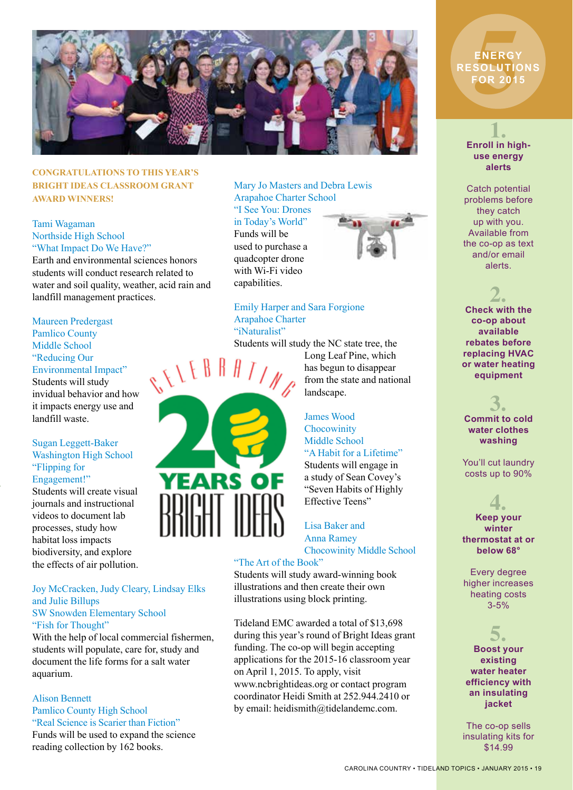

#### **CONGRATULATIONS TO THIS YEAR'S BRIGHT IDEAS CLASSROOM GRANT AWARD WINNERS!**

#### Tami Wagaman Northside High School "What Impact Do We Have?"

Earth and environmental sciences honors students will conduct research related to water and soil quality, weather, acid rain and landfill management practices.

#### Maureen Predergast Pamlico County Middle School "Reducing Our Environmental Impact" Students will study invidual behavior and how it impacts energy use and

Sugan Leggett-Baker Washington High School "Flipping for Engagement!"

landfill waste.

Students will create visual journals and instructional videos to document lab processes, study how habitat loss impacts biodiversity, and explore the effects of air pollution.

#### Joy McCracken, Judy Cleary, Lindsay Elks and Julie Billups SW Snowden Elementary School "Fish for Thought"

With the help of local commercial fishermen, students will populate, care for, study and document the life forms for a salt water aquarium.

#### Alison Bennett

Pamlico County High School "Real Science is Scarier than Fiction" Funds will be used to expand the science reading collection by 162 books.

Mary Jo Masters and Debra Lewis Arapahoe Charter School "I See You: Drones in Today's World" Funds will be used to purchase a quadcopter drone with Wi-Fi video

capabilities.



Emily Harper and Sara Forgione Arapahoe Charter "iNaturalist"

Students will study the NC state tree, the

Long Leaf Pine, which has begun to disappear from the state and national landscape.

#### James Wood **Chocowinity** Middle School "A Habit for a Lifetime"

Students will engage in a study of Sean Covey's "Seven Habits of Highly Effective Teens"

Lisa Baker and Anna Ramey Chocowinity Middle School

#### "The Art of the Book"

Students will study award-winning book illustrations and then create their own illustrations using block printing.

Tideland EMC awarded a total of \$13,698 during this year's round of Bright Ideas grant funding. The co-op will begin accepting applications for the 2015-16 classroom year on April 1, 2015. To apply, visit www.ncbrightideas.org or contact program coordinator Heidi Smith at 252.944.2410 or by email: heidismith@tidelandemc.com.

## ENERGY<br>SOLUTIC<br>FOR 201 **ENERGY RESOLUTIONS FOR 2015**

**1. Enroll in highuse energy alerts**

Catch potential problems before they catch up with you. Available from the co-op as text and/or email alerts.

#### **2. Check with the co-op about available rebates before replacing HVAC or water heating equipment**

**3. Commit to cold water clothes washing**

You'll cut laundry costs up to 90%

## **4.**

**Keep your winter thermostat at or below 68°**

Every degree higher increases heating costs 3-5%

**5.**

**Boost your existing water heater efficiency with an insulating jacket**

The co-op sells insulating kits for \$14.99